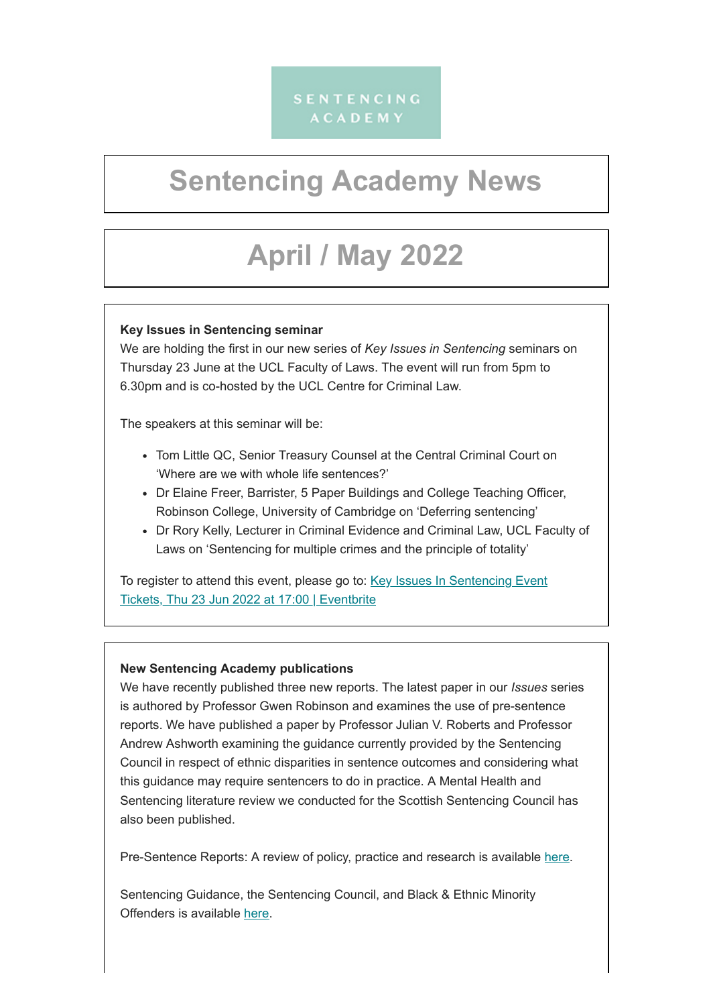# SENTENCING **ACADEMY**

# **Sentencing Academy News**

# **April / May 2022**

## **Key Issues in Sentencing seminar**

We are holding the first in our new series of *Key Issues in Sentencing* seminars on Thursday 23 June at the UCL Faculty of Laws. The event will run from 5pm to 6.30pm and is co-hosted by the UCL Centre for Criminal Law.

The speakers at this seminar will be:

- Tom Little QC, Senior Treasury Counsel at the Central Criminal Court on 'Where are we with whole life sentences?'
- Dr Elaine Freer, Barrister, 5 Paper Buildings and College Teaching Officer, Robinson College, University of Cambridge on 'Deferring sentencing'
- Dr Rory Kelly, Lecturer in Criminal Evidence and Criminal Law, UCL Faculty of Laws on 'Sentencing for multiple crimes and the principle of totality'

To register to attend this event, please go to: Key Issues In Sentencing Event [Tickets, Thu 23 Jun 2022 at 17:00 | Eventbrite](https://www.eventbrite.co.uk/e/key-issues-in-sentencing-event-tickets-344845250427)

## **New Sentencing Academy publications**

We have recently published three new reports. The latest paper in our *Issues* series is authored by Professor Gwen Robinson and examines the use of pre-sentence reports. We have published a paper by Professor Julian V. Roberts and Professor Andrew Ashworth examining the guidance currently provided by the Sentencing Council in respect of ethnic disparities in sentence outcomes and considering what this guidance may require sentencers to do in practice. A Mental Health and Sentencing literature review we conducted for the Scottish Sentencing Council has also been published.

Pre-Sentence Reports: A review of policy, practice and research is available [here](https://sentencingacademy.org.uk/wp-content/uploads/2022/04/Pre-Sentence-Reports-1.pdf).

Sentencing Guidance, the Sentencing Council, and Black & Ethnic Minority Offenders is available [here.](https://sentencingacademy.org.uk/wp-content/uploads/2022/05/Sentencing-Guidance-the-Sentencing-Council-and-Black-Ethnic-Minority-Offenders-1.pdf)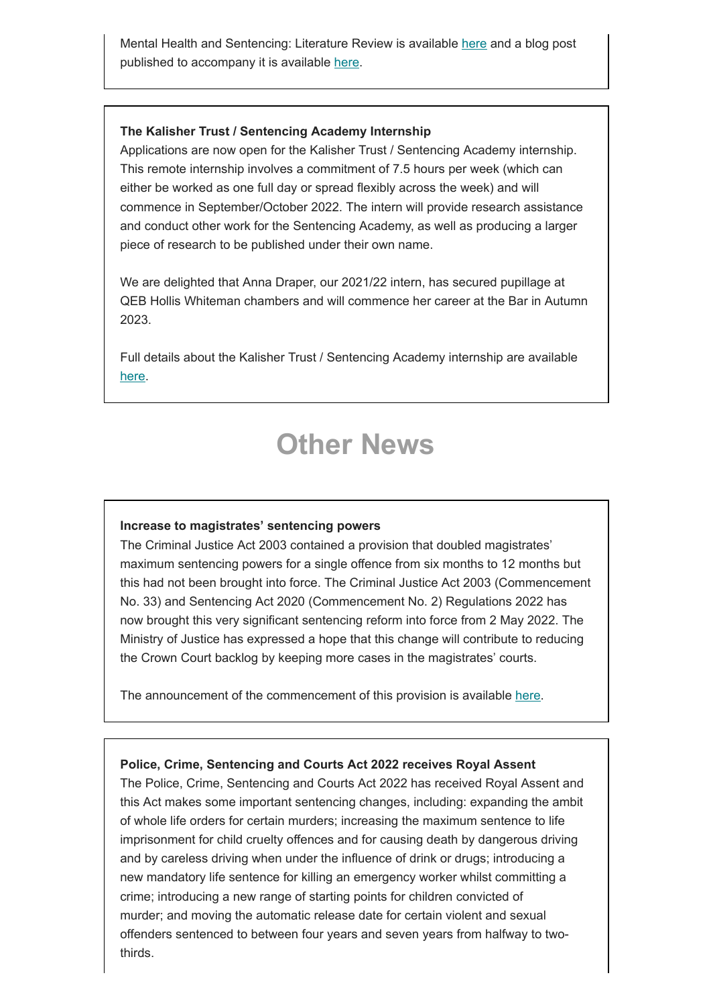Mental Health and Sentencing: Literature Review is available [here](https://www.scottishsentencingcouncil.org.uk/media/2211/20220331-mental-health-literature-review-final-as-published-20220512.pdf) and a blog post published to accompany it is available [here.](https://www.scottishsentencingcouncil.org.uk/news-and-media/blog/sentencing-offenders-with-mental-health-issues/)

#### **The Kalisher Trust / Sentencing Academy Internship**

Applications are now open for the Kalisher Trust / Sentencing Academy internship. This remote internship involves a commitment of 7.5 hours per week (which can either be worked as one full day or spread flexibly across the week) and will commence in September/October 2022. The intern will provide research assistance and conduct other work for the Sentencing Academy, as well as producing a larger piece of research to be published under their own name.

We are delighted that Anna Draper, our 2021/22 intern, has secured pupillage at QEB Hollis Whiteman chambers and will commence her career at the Bar in Autumn 2023.

Full details about the Kalisher Trust / Sentencing Academy internship are available [here.](https://sentencingacademy.org.uk/2022/05/the-kalisher-trust-sentencing-academy-internship-2/)

# **Other News**

#### **Increase to magistrates' sentencing powers**

The Criminal Justice Act 2003 contained a provision that doubled magistrates' maximum sentencing powers for a single offence from six months to 12 months but this had not been brought into force. The Criminal Justice Act 2003 (Commencement No. 33) and Sentencing Act 2020 (Commencement No. 2) Regulations 2022 has now brought this very significant sentencing reform into force from 2 May 2022. The Ministry of Justice has expressed a hope that this change will contribute to reducing the Crown Court backlog by keeping more cases in the magistrates' courts.

The announcement of the commencement of this provision is available [here.](https://www.gov.uk/government/news/magistrates-to-help-tackle-backlog-as-sentencing-powers-doubled)

### **Police, Crime, Sentencing and Courts Act 2022 receives Royal Assent**

The Police, Crime, Sentencing and Courts Act 2022 has received Royal Assent and this Act makes some important sentencing changes, including: expanding the ambit of whole life orders for certain murders; increasing the maximum sentence to life imprisonment for child cruelty offences and for causing death by dangerous driving and by careless driving when under the influence of drink or drugs; introducing a new mandatory life sentence for killing an emergency worker whilst committing a crime; introducing a new range of starting points for children convicted of murder; and moving the automatic release date for certain violent and sexual offenders sentenced to between four years and seven years from halfway to twothirds.